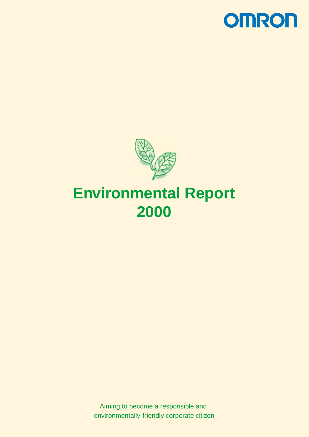



# **Environmental Report 2000**

Aiming to become a responsible and environmentally-friendly corporate citizen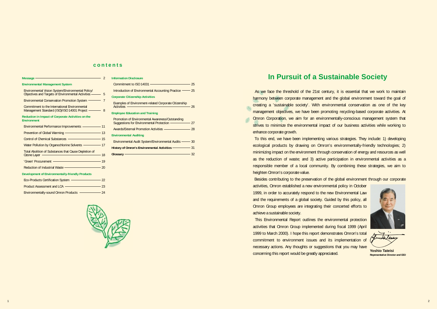# **In Pursuit of a Sustainable Society**

As we face the threshold of the 21st century, it is essential that we work to maintain harmony between corporate management and the global environment toward the goal of creating a 'sustainable society'. With environmental conservation as one of the key management objectives, we have been promoting recycling-based corporate activities. At Omron Corporation, we aim for an environmentally-conscious management system that strives to minimize the environmental impact of our business activities while working to enhance corporate growth.

 This Environmental Report outlines the environmental protection activities that Omron Group implemented during fiscal 1999 (April 1999 to March 2000). I hope this report demonstrates Omron's total commitment to environment issues and its implementation of necessary actions. Any thoughts or suggestions that you may have **Concerning this report would be greatly appreciated. The Concerning this report would be greatly appreciated. Property Approximate Director and CEO** 



Laleus

 To this end, we have been implementing various strategies. They include: 1) developing ecological products by drawing on Omron's environmentally-friendly technologies; 2) minimizing impact on the environment through conservation of energy and resources as well as the reduction of waste; and 3) active participation in environmental activities as a responsible member of a local community. By combining these strategies, we aim to heighten Omron's corporate value.

 Besides contributing to the preservation of the global environment through our corporate activities, Omron established a new environmental policy in October 1999, in order to accurately respond to the new Environmental Law and the requirements of a global society. Guided by this policy, all Omron Group employees are integrating their concerted efforts to achieve a sustainable society.

| Commitment to ISO 14031 $\longrightarrow$                                                                     |       |
|---------------------------------------------------------------------------------------------------------------|-------|
| Introduction of Environmental Accounting Practice ——— 25                                                      |       |
| <b>Corporate Citizenship Activities</b>                                                                       |       |
| <b>Examples of Environment-related Corporate Citizenship</b><br>Activities -                                  | — 26  |
| <b>Employee Education and Training</b>                                                                        |       |
| Promotion of Environmental Awareness/Outstanding<br>Suggestions for Environmental Protection ——————————————27 |       |
| Awards/External Promotion Activities –––––––––––––––28                                                        |       |
| <b>Environmental Auditing</b>                                                                                 |       |
| Environmental Audit System/Environmental Audits ——— 30                                                        |       |
| History of Omron's Environmental Activities - 31                                                              |       |
| Glossary <b>Container and Container and Container and Container and Container and Container</b>               | $-32$ |
|                                                                                                               |       |
|                                                                                                               |       |

| $M$ essage $\sim$ 2                                                                                         |  |
|-------------------------------------------------------------------------------------------------------------|--|
| <b>Environmental Management System</b>                                                                      |  |
| Environmental Vision System/Environmental Policy/<br>Objectives and Targets of Environmental Activities - 5 |  |
| Environmental Conservation Promotion System <sup>-1</sup> 7                                                 |  |
| Commitment to the International Environmental<br>Management Standard (ISO)/ISO 14001 Project - 8            |  |
| Reduction in Impact of Corporate Activities on the<br><b>Environment</b>                                    |  |
| Environmental Performance Improvements - 11                                                                 |  |
| Prevention of Global Warming ———————————————————— 13                                                        |  |
| Control of Chemical Substances – 2022                                                                       |  |
| Water Pollution by Organochlorine Solvents - 17                                                             |  |
| <b>Total Abolition of Substances that Cause Depletion of</b><br>$-18$<br>Ozone Layer –––––––––              |  |
| 'Green' Procurement - 19                                                                                    |  |
| Reduction of Industrial Waste - 20                                                                          |  |
| Development of Environmentally-friendly Products                                                            |  |
| Eco-Products Certification System – 22                                                                      |  |
| Product Assessment and LCA ————————————————— 23                                                             |  |
| Environmentally-sound Omron Products - 24                                                                   |  |

**Information Disclosure**

# **contents**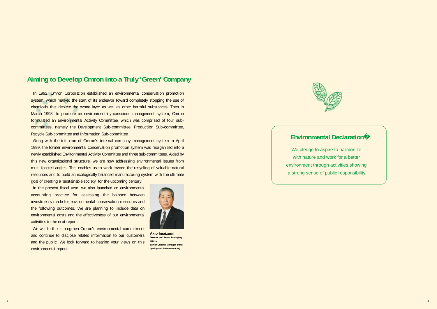

In 1992, Omron Corporation established an environmental conservation promotion system, which marked the start of its endeavor toward completely stopping the use of chemicals that deplete the ozone layer as well as other harmful substances. Then in March 1998, to promote an environmentally-conscious management system, Omron formulated an Environmental Activity Committee, which was comprised of four subcommittees, namely the Development Sub-committee, Production Sub-committee, Recycle Sub-committee and Information Sub-committee.

 Along with the initiation of Omron's internal company management system in April 1999, the former environmental conservation promotion system was reorganized into a newly established Environmental Activity Committee and three sub-committees. Aided by this new organizational structure, we are now addressing environmental issues from multi-faceted angles. This enables us to work toward the recycling of valuable natural resources and to build an ecologically balanced manufacturing system with the ultimate

goal of creating a 'sustainable society' for the upcoming century.

 In the present fiscal year, we also launched an environmental accounting practice for assessing the balance between investments made for environmental conservation measures and the following outcomes. We are planning to include data on environmental costs and the effectiveness of our environmental activities in the next report.

 We will further strengthen Omron's environmental commitment and continue to disclose related information to our customers and the public. We look forward to hearing your views on this environmental report.

**Akio Imaizumi Director and Senior Managing Officer Senior General Manager of the Quality and Environment HQ**



# **Aiming to Develop Omron into a Truly 'Green' Company**

# **Environmental Declaration**

We pledge to aspire to harmonize with nature and work for a better environment through activities showing a strong sense of public responsibility.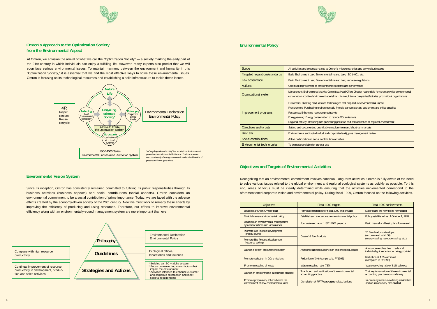# **Objectives and Targets of Environmental Activities**

# **Environmental Policy**

| Scope |                                   | All activities and products related to O                                                                                                                                                                   |
|-------|-----------------------------------|------------------------------------------------------------------------------------------------------------------------------------------------------------------------------------------------------------|
|       | Targeted regulations/standards    | Basic Environment Law, Environmenta                                                                                                                                                                        |
|       | Law observance                    | Basic Environment Law, Environmenta                                                                                                                                                                        |
|       | <b>Actions</b>                    | Continual improvement of environmer                                                                                                                                                                        |
|       | Organizational system             | Management: Environmental Activity Co<br>conservation activities/environment-spe                                                                                                                           |
|       | Improvement programs              | <b>Customers: Creating products and tec</b><br>Procurement: Purchasing environmen<br>Resources: Enhancing resource produ<br>Energy-saving: Energy conservation to<br>Regional activity: Reducing and preve |
|       | Objectives and targets            | Setting and documenting quantitative                                                                                                                                                                       |
|       | Review                            | Environmental audits (individual and o                                                                                                                                                                     |
|       | Social contributions              | Active participation in social contribut                                                                                                                                                                   |
|       | <b>Environmental technologies</b> | To be made available for general use                                                                                                                                                                       |

| <b>Objectives</b>                                                               | Fiscal 1999 targets                                                       | Fiscal 1999 achievements                                                                       |  |
|---------------------------------------------------------------------------------|---------------------------------------------------------------------------|------------------------------------------------------------------------------------------------|--|
| Establish a "Green Omron" plan                                                  | Formulate strategies for fiscal 2000 and onward                           | Major plans are now being formulated                                                           |  |
| Establish a new environmental policy                                            | Establish and announce a new environmental policy                         | Policy established as of October 1, 1999                                                       |  |
| Establish an environmental management<br>system for offices and laboratories    | Formulate and launch ISO 14001 projects                                   | Basic manual and basic plans formulated                                                        |  |
| Promote Eco-Product development<br>(energy saving)                              | Create 16 Eco-Products                                                    | 20 Eco-Products developed<br>(accumulated total: 36)<br>(energy-saving, resource-saving, etc.) |  |
| Promote Eco-Product development<br>(resource saving)                            |                                                                           |                                                                                                |  |
| Launch a "green" procurement system                                             | Announce an introductory plan and provide quidance                        | Announcement has been made and<br>individual quidance is now being provided                    |  |
| Promote reduction in CO <sub>2</sub> emissions                                  | Reduction of 3% (compared to FY1995)                                      | Reduction of 1.3% achieved<br>(compared to FY1995)                                             |  |
| Promote recycling of waste                                                      | Waste recycling ratio: 73%                                                | Waste recycling ratio of 81% achieved                                                          |  |
| Launch an environmental accounting practice                                     | Trial launch and verification of the environmental<br>accounting practice | Trial implementation of the environmental<br>accounting practice now underway                  |  |
| Promote preparatory actions before the<br>enforcement of new environmental laws | Completion of PRTR/packaging-related actions                              | In-house system is now being established<br>and an introductory plan drafted                   |  |



Imron's microelectronics and service businesses

al-related Law, ISO 14001, etc.

al-related Law, in-house regulations

ntal systems and performance

ommittee; Head Office: Director responsible for corporate-wide environmental<br>ecialized division; Internal companies/factories: promotional organizations

chnologies that help reduce environmental impact

htally-friendly parts/materials, equipment and office supplies **Resource** 

o reduce CO<sub>2</sub> emissions

nting pollution and contamination of regional environment

medium-term and short-term targets

corporate-level), plus management review

tion activities

Recognizing that an environmental commitment involves continual, long-term activities, Omron is fully aware of the need to solve various issues related to the global environment and regional ecological systems as quickly as possible. To this end, areas of focus must be clearly determined while ensuring that the activities implemented correspond to the aforementioned corporate vision and environmental policy. During fiscal 1999, Omron focused on the following activities.

# **Environmental Vision System**

Since its inception, Omron has consistently remained committed to fulfilling its public responsibilities through its business activities (business aspects) and social contributions (social aspects). Omron considers an environmental commitment to be a social contribution of prime importance. Today, we are faced with the adverse effects created by the economy-driven society of the 20th century. Now we must work to remedy these effects by improving the efficiency of producing and using resources. Therefore, our efforts to improve environmental efficiency along with an environmentally-sound management system are more important than ever.









# **Omron's Approach to the Optimization Society from the Environmental Aspect**

At Omron, we envision the arrival of what we call the "Optimization Society" — a society marking the early part of the 21st century in which individuals can enjoy a fulfilling life. However, many experts also predict that we will soon face serious environmental issues. To maintain harmony between the environment and humanity in this "Optimization Society," it is essential that we find the most effective ways to solve these environmental issues. Omron is focusing on its technological resources and establishing a solid infrastructure to tackle these issues.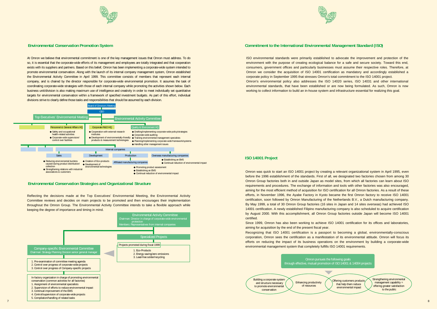



### **Environmental Conservation Promotion System**

### **Environmental Conservation Strategies and Organizational Structure**



At Omron we believe that environmental commitment is one of the key management issues that Omron must address. To do so, it is essential that the corporate-wide efforts of its management and employees are totally integrated and that cooperation exists with its suppliers and partners. Based on this belief, Omron has been implementing a corporate-wide system intended to promote environmental conservation. Along with the launch of its internal company management system, Omron established the Environmental Activity Committee in April 1999. This committee consists of members that represent each internal company, and is chaired by the director responsible for corporate-wide environmental promotion. It assumes the task of coordinating corporate-wide strategies with those of each internal company while promoting the activities shown below. Each business unit/division is also making maximum use of intelligence and creativity in order to meet individually set quantitative targets for environmental conservation within a framework of specified investment budgets. As part of this effort, individual divisions strive to clearly define those tasks and responsibilities that should be assumed by each division.

ISO environmental standards were primarily established to advocate the improvement and protection of the environment with the purpose of creating ecological balance for a safe and secure society. Toward this end, consumers, government offices and particularly businesses must assume their respective roles. Therefore, at Omron we consider the acquisition of ISO 14001 certification as mandatory and accordingly established a corporate policy in September 1995 that stresses Omron's total commitment to the ISO 14001 project. Omron's environmental policy also addresses the ISO 14020 series, ISO 14031 and other international environmental standards, that have been established or are now being formulated. As such, Omron is now working to collect information to build an in-house system and infrastructure essential for realizing this goal.

Reflecting the decisions made at the Top Executives' Environmental Meeting, the Environmental Activity Committee reviews and decides on main projects to be promoted and then encourages their implementation throughout the Omron Group. The Environmental Activity Committee intends to take a flexible approach while keeping the degree of importance and timing in mind.



Omron was quick to start an ISO 14001 project by creating a relevant organizational system in April 1995, even before the 1996 establishment of the standards. First of all, we designated two factories chosen from among 30 Omron Group factories both in and outside Japan as model sites, from which all factories can learn about ISO requirements and procedures. The exchange of information and tools with other factories was also encouraged, aiming for the most efficient method of acquisition for ISO certification for all Omron factories. As a result of these efforts, in November 1996, the Ayabe Factory in Kyoto became the first Omron factory to receive ISO 14001 certification, soon followed by Omron Manufacturing of the Netherlands B.V., a Dutch manufacturing company. By May 1999, a total of 30 Omron Group factories (16 sites in Japan and 14 sites overseas) had achieved ISO 14001 certification. A newly established Filipino manufacturing company is also scheduled to acquire certification by August 2000. With this accomplishment, all Omron Group factories outside Japan will become ISO 14001 certified.

Since 1999, Omron has also been working to achieve ISO 14001 certification for its offices and laboratories, aiming for acquisition by the end of the present fiscal year. Recognizing that ISO 14001 certification is a passport to becoming a global, environmentally-conscious corporation, Omron sees the certification as a manifestation of its environmental attitude. Omron will focus its efforts on reducing the impact of its business operations on the environment by building a corporate-wide environmental management system that completely fulfills ISO 14001 requirements.

# **Commitment to the International Environmental Management Standard (ISO)**

### **ISO 14001 Project**



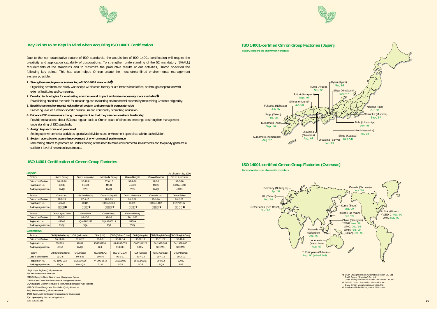

# **Key Points to be Kept in Mind when Acquiring ISO 14001 Certification**

# **ISO 14001 Certification of Omron Group Factories**

Due to the non-quantitative nature of ISO standards, the acquisition of ISO 14001 certification will require the creativity and application capability of corporations. To strengthen understanding of the 52 mandatory (SHALL) requirements of the standards and to maximize the productive results of our activities, Omron specified the following key points. This has also helped Omron create the most streamlined environmental management system possible.

Organizing seminars and study workshops within each factory or at Omron's head office, or through cooperation with external institutes and companies.

**1. Strengthen employee understanding of ISO 14001 standards**

9 SGS: SGS Co., Ltd. 2008 No. 2009 Page 2009 Page 2009 Page 2009 Page 2009 Page 2009 Page 2009 Page 2009 Page 2 LRQA: Lloy's Register Quality Assurance BSI: British Standards Institution SCEMS: Shanghai Center Environment Management System CCEMS: China Center For Environmental Management System EIQA: Shanghai Electronic Industry & Instrumentation Quality Audit Institute KMA-QA: Korea Management Association Quality Assurance BVQI: Bureau Veritas Quality International JACO: Japan Audit Certification Organization for Environment JQA: Japan Quality Assurance Organization SGS: SGS Co., Ltd.

- **2. Develop technologies for evaluating environmental impact and make necessary tools available** Establishing standard methods for measuring and evaluating environmental aspects by maximizing Omron's originality.
- **3. Establish an environmental educational system and promote it corporate-wide** Preparing level or function-specific curriculum and continually promoting education.
- **4. Enhance ISO awareness among management so that they can demonstrate leadership** Provide explanations about ISO on a regular basis at Omron board of directors' meetings to strengthen management understanding of ISO standards.
- **5. Assign key sections and personnel** Setting up environmental activities-specialized divisions and environment specialists within each division.
- **6. System operation to assure improvement of environmental performance** Maximizing efforts to promote an understanding of the need to make environmental investments and to quickly generate a sufficient level of return on investments.

| <b>Japan</b>          |                      |                   |                    |                        |               | As of March 21, 2000 |
|-----------------------|----------------------|-------------------|--------------------|------------------------|---------------|----------------------|
| Factory               | <b>Ayabe Factory</b> | Omron Ichinomiya  | Minakuchi Factory  | Omron Nohgata          | Omron Okayama | Omron Kumamoto       |
| Date of certification | $96 - 11 - 16$       | $96 - 12 - 8$     | $97 - 6 - 12$      | $97 - 7 - 26$          | $97 - 8 - 2$  | $97 - 8 - 26$        |
| Registration No.      | 65349                | 61343             | 41101              | 41680                  | 41825         | EC97J1058            |
| Auditing organization | <b>BVQI</b>          | <b>BVQI</b>       | <b>BVQI</b>        | <b>BVQI</b>            | <b>BVQI</b>   | <b>JACO</b>          |
|                       |                      |                   |                    |                        |               |                      |
| Factory               | Omron Aso            | Mishima Factory   | Omron Kurayoshi    | Omron Matsusaka        | Omron Izumo   | Omron Takeo          |
| Date of certification | $97 - 9 - 15$        | $97-9-15$         | $97-9-29$          | $98 - 2 - 21$          | $98 - 1 - 26$ | $98 - 2 - 23$        |
| Registration No.      | 42440                | 42441             | EC97J1080          | 46369                  | EC97J1162     | EC97J1187            |
| Auditing organization |                      |                   |                    |                        |               |                      |
|                       |                      |                   |                    |                        |               |                      |
| Factory               | Omron Kyoto Taiyo    | Omron lida        | <b>Omron Sanyo</b> | <b>Kusatsu Factory</b> |               |                      |
| Date of certification | $98 - 3 - 31$        | $98-10-2$         | $99 - 1 - 8$       | 98-12-25               |               |                      |
| Registration No.      | 47066                | <b>JQA-EM0227</b> | <b>JQA-EM0314</b>  | 53509                  |               |                      |
| Auditing organization | <b>BVQI</b>          | <b>JQA</b>        | <b>JQA</b>         | <b>BVQI</b>            |               |                      |

#### **Overseas**

| Factory               | <b>OMN</b> (Netherlands) | OMI (Indonesia) | <b>OUK (U.K.)</b>   | OMD (Dalian, China) | OMB (Malaysia) | OMP (Shanghai, China)   OMC (Shanghai, China) |                |
|-----------------------|--------------------------|-----------------|---------------------|---------------------|----------------|-----------------------------------------------|----------------|
| Date of certification | $96 - 11 - 28$           | $97 - 8 - 26$   | $98 - 2 - 9$        | 98-12-14            | $98-12-18$     | 98-11-27                                      | $98-12-8$      |
| Registration No.      | 651293                   | 42091           | <b>EMS38730</b>     | 01-1998-073         | O000101128     | 04-1998-004                                   | 04-1998-005    |
| Auditing organization | <b>LRQA</b>              | <b>BVQI</b>     | <b>BSI</b>          | <b>CCEMS</b>        | <b>SIRIM</b>   | <b>SCEMS</b>                                  | <b>SCEMS</b>   |
|                       |                          |                 |                     |                     |                |                                               |                |
| Factory               | OMR (Shanghai, China)    | OKA (Korea)     | <b>OMA (U.S.A.)</b> | OED-C (U.S.A.)      | ODI (Canada)   | OMG (Germany)                                 | OTE-P (Taiwan) |
| Date of certification | $99 - 2 - 5$             | $99-3-26$       | $99 - 5 - 6$        | 99-3-31             | $99 - 4 - 23$  | $99-4-16$                                     | $99 - 2 - 10$  |
| Registration No.      | 02-1999-002              | ESC990096       | 74-300-8814         | 1521/99/E           | 1563.1/99/E    | 260412                                        | 92020          |
| Auditing organization | <b>EIQA</b>              | <b>KMA-QA</b>   | <b>TUV</b>          | SGS                 | <b>SGS</b>     | <b>LRQA</b>                                   | SGS            |

### **ISO 14001-certified Omron Group Factories (Overseas) Factory locations are shown within brackets**

# **ISO 14001-certified Omron Group Factories (Japan) Factory locations are shown within brackets**







- <sup>∗</sup>1 OMP: Shanghai Omron Automation System Co., Ltd. OMC: Omron (Shanghai) Co., Ltd. OMR: Shanghai Omron Control Components Co., Ltd.
- <sup>∗</sup>2 OED-C: Omron Automation Electronics, Inc.
- OMA: Omron Manufacturing America, Inc. <sup>∗</sup>3 Newly established factory in the Philippines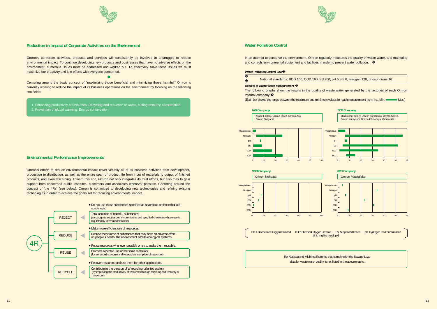



## **Reduction in Impact of Corporate Activities on the Environment**

### **Environmental Performance Improvements**

Omron's corporate activities, products and services will consistently be involved in a struggle to reduce environmental impact. To continue developing new products and businesses that have no adverse effects on the environment, numerous issues must be addressed and worked out. To effectively solve these issues we must maximize our creativity and join efforts with everyone concerned.

Centering around the basic concept of "maximizing those beneficial and minimizing those harmful," Omron is currently working to reduce the impact of its business operations on the environment by focusing on the following two fields:

0

Omron's efforts to reduce environmental impact cover virtually all of its business activities from development, production to distribution, as well as the entire span of product life from input of materials to output of finished products, and even discarding. Toward this end, Omron not only integrates its total efforts, but also tries to gain support from concerned public institutes, customers and associates wherever possible. Centering around the concept of 'the 4Rs' (see below), Omron is committed to developing new technologies and refining existing technologies in order to achieve the goals set for reducing environmental impact.



1. Enhancing productivity of resources: Recycling and reduction of waste, cutting resource consumption 2. Prevention of global warming: Energy conservation

In an attempt to conserve the environment, Omron regularly measures the quality of waste water, and maintains and controls environmental equipment and facilities in order to prevent water pollution.

#### **Water Pollution Control Law**

## **Water Pollution Control**

For Kusatsu and Mishima Factories that comply with the Sewage Law, data for waste water quality is not listed in the above graphs.





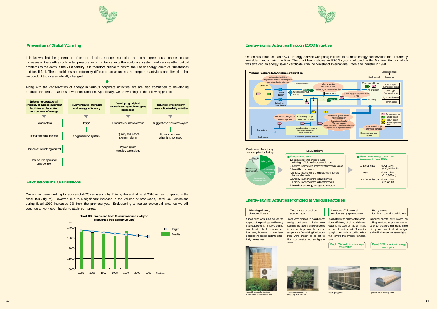



# **Prevention of Global Warming**

# **Fluctuations in CO2 Emissions**

It is known that the generation of carbon dioxide, nitrogen suboxide, and other greenhouse gasses cause increases in the earth's surface temperature, which in turn affects the ecological system and causes other critical problems to the earth in the 21st century. It is therefore critical to control the use of energy, chemical substances and fossil fuel. These problems are extremely difficult to solve unless the corporate activities and lifestyles that we conduct today are radically changed.

#### $\bullet$

Along with the conservation of energy in various corporate activities, we are also committed to developing products that feature far less power consumption. Specifically, we are working on the following projects.

Omron has introduced an ESCO (Energy Service Company) initiative to promote energy conservation for all currently available manufacturing facilities. The chart below shows an ESCO system adopted by the Mishima Factory, which was awarded an energy-saving certificate from the Ministry of International Trade and Industry in 1998.

Omron has been working to reduce total CO2 emissions by 11% by the end of fiscal 2010 (when compared to the fiscal 1995 figure). However, due to a significant increase in the volume of production, total CO2 emissions during fiscal 1999 increased 3% from the previous year. Endeavoring to realize ecological factories we will continue to work even harder to attain our target.

> of an outdoor unit. Initially the blind was placed at the front of an outdoor unit, however, it was later placed at the back in order to effec-trees were chosen so as not to tively release heat. block out the afternoon sunlight in winter



Covering sheets were placed on ceiling windows to prevent the interior temperature from rising in the dining room due to direct sunlight and to block out unnecessary light.



### **Energy-saving Activities Promoted at Various Factories**

Result: 35% reduction in energy consumption





Water spray ports **Light/sun block covering sheet** 

rees were planted to avoid direct unlight and solar radiation from aching the factory's side windows in an effort to prevent the interior temperature from rising.Deciduous Trees planted to block out afternoon sun

## **Energy-saving Activities through ESCO Initiative**



| <b>Enhancing efficiency</b><br>of air-conditioners |    |
|----------------------------------------------------|----|
| A reed blind was installed for the                 | Tı |
| purpose of improving the efficiency                | Sι |
| of an outdoor unit. Initially the blind            | re |





Increasing efficiency of air-<br>conditioners by spraying water

In an attempt to enhance the operational efficiency of air-conditioners, water is sprayed on the air intake section of outdoor units. The water spraying results in a cooling effect that lowers the ambient temperature.

| Result: 15% reduction in energy |  |
|---------------------------------|--|
| consumption                     |  |







the strong afternoon su

of an outdoor air-conditioner unit

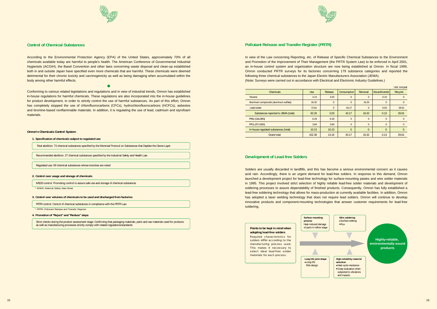



## **Control of Chemical Substances**

According to the Environmental Protection Agency (EPA) of the United States, approximately 70% of all chemicals available today are harmful to people's health. The American Conference of Governmental Industrial Hygienists (ACGIH), the Basel Convention and other laws concerning waste disposal and clean-up established both in and outside Japan have specified even more chemicals that are harmful. These chemicals were deemed detrimental for their chronic toxicity and carcinogenicity as well as being damaging when accumulated within the body among other harmful effects.

 $\bullet$ 

Conforming to various related legislations and regulations and in view of industrial trends, Omron has established in-house regulations for harmful chemicals. These regulations are also incorporated into the in-house guidelines for product development, in order to strictly control the use of harmful substances. As part of this effort, Omron has completely stopped the use of chlorofluorocarbons (CFCs), hydrochlorofluorocarbons (HCFCs), asbestos and bromine-based nonflammable materials. In addition, it is regulating the use of lead, cadmium and styrofoam materials.

#### **Omron's Chemicals Control System**

\* PRTR: Pollutant Release and Transfer Register

Total abolition: 73 chemical substances specified by the Montreal Protocol on Substances that Deplete the Ozone Layer

Recommended abolition: 27 chemical substances specified by the Industrial Safety and Health Law

Regulated use: 69 chemical substances whose toxicities are noted

MSDS control: Promoting control to assure safe use and storage of chemical substances

\* MSDS: Material Safety Data Sheet

PRTR control: Control of chemical substances in compliance with the PRTR Law

Strict checks during the product assessment stage: Confirming that packaging materials, parts and raw materials used for products as well as manufacturing processes strictly comply with related regulations/standards

**1. Specification of chemicals subject to regulated use**

#### **2. Control over usage and storage of chemicals**

#### **3. Control over volumes of chemicals to be used and discharged from factories**

### **4. Promotion of "Reject" and "Reduce" steps**

In view of the Law concerning Reporting, etc. of Release of Specific Chemical Substances to the Environment and Promotion of the Improvement of Their Management (the PRTR System Law) to be enforced in April 2001, an in-house control system and organization structure are now being established at Omron. In fiscal 1999, Omron conducted PRTR surveys for its factories concerning 179 substance categories and reported the following three chemical substances to the Japan Electric Manufacturers Association (JEMA). (Note: Surveys were carried out in accordance with Electrical and Electronic Industry Guidelines.)

Solders are usually discarded in landfills, and this has become a serious environmental concern as it causes acid rain. Accordingly, there is an urgent demand for lead-free solders. In response to this demand, Omron launched a development project for lead-free technology for surface-mounting pastes and wire solder materials in 1995. This project involved strict selection of highly reliable lead-free solder materials and development of soldering processes to assure dependability of finished products. Consequently, Omron has fully established a lead-free soldering technology that allows for mass-production at currently available facilities. In addition, Omron has adopted a laser welding technology that does not require lead solders. Omron will continue to develop innovative products and component-mounting technologies that answer customer requirements for lead-free soldering.

# **Pollutant Release and Transfer Register (PRTR)**

#### **Development of Lead-free Solders**



#### **Points to be kept in mind when adopting lead-free solders**

Required characteristics for solders differ according to the manufacturing process used. This makes it necessary to select ideal lead-free solder materials for each process.

|                                       |            |                |                |                |                  | Unit: ton/year |
|---------------------------------------|------------|----------------|----------------|----------------|------------------|----------------|
| <b>Chemicals</b>                      | <b>Use</b> | <b>Release</b> | Consumption    | Removal        | Discard/transfer | Recycle        |
| <b>Toluene</b>                        | 3.13       | 3.03           | $\overline{0}$ | $\mathbf{0}$   | 0.10             | $\Omega$       |
| Aluminum compounds (aluminum sulfate) | 16.32      | $\mathbf{0}$   | $\overline{0}$ | 16.32          | $\Omega$         | $\Omega$       |
| Lead solder                           | 72.81      | $\mathbf{0}$   | 43.17          | $\overline{0}$ | 0.03             | 29.61          |
| Substances reported to JEMA (total)   | 92.26      | 3.03           | 43.17          | 16.32          | 0.13             | 29.61          |
| PFEs (GALDEN)                         | 6.29       | 6.29           | $\overline{0}$ | $\overline{0}$ | $\Omega$         | $\Omega$       |
| <b>PFCs (FC-3283)</b>                 | 3.84       | 3.84           | $\overline{0}$ | $\Omega$       | $\Omega$         | $\Omega$       |
| In-house regulated substances (total) | 10.13      | 10.13          | $\overline{0}$ | $\Omega$       | $\Omega$         | $\Omega$       |
| <b>Grand total</b>                    | 102.39     | 13.16          | 43.17          | 16.32          | 0.13             | 29.61          |
|                                       |            |                |                |                |                  |                |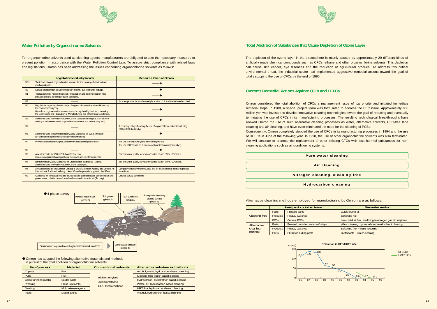



# **Water Pollution by Organochlorine Solvents**

For organochlorine solvents used as cleaning agents, manufacturers are obligated to take the necessary measures to prevent pollution in accordance with the Water Pollution Control Law. To assure strict compliance with related laws and legislations, Omron has been addressing the issues concerning organochlorine solvents as follows:

♦ Omron has adopted the following alternative materials and methods in pursuit of the total abolition of organochlorine solvents.

|      | <b>Legislations/industry trends</b>                                                                                                                                                                                                                                      | <b>Measures taken at Omron</b>                                                                                        |
|------|--------------------------------------------------------------------------------------------------------------------------------------------------------------------------------------------------------------------------------------------------------------------------|-----------------------------------------------------------------------------------------------------------------------|
| '50s | The introduction of organochlorine solvents for the cleaning of electrical and<br>mechanical parts.                                                                                                                                                                      |                                                                                                                       |
| 80'  | Serious groundwater pollution occurs in the U.S. due to effluent leakage.                                                                                                                                                                                                |                                                                                                                       |
| '81  | The Environment Agency begins an investigation and discovers nation-wide<br>pollution and the carcinogenicity of pollutants.                                                                                                                                             |                                                                                                                       |
| '83  |                                                                                                                                                                                                                                                                          | An attempt to replace trichloroethylene with 1.1.1. trichloroethane launched.                                         |
| '84  | Regulations regarding the discharge of organochlorine solvents established by<br>the Environment Agency.<br>Hazardous organochlorine solvents are to be regulated by the Law concerning<br>the Examination and Regulation of Manufacturing, etc. of Chemical Substances. |                                                                                                                       |
| '89  | Amendments to the Water Pollution Control Law (concerning the prohibition of<br>underground penetration of organochlorine solvents and monitoring, etc.)                                                                                                                 |                                                                                                                       |
| 92   |                                                                                                                                                                                                                                                                          | A company policy of ending the use of organochlorine solvents including<br>CFCs established (July).                   |
| '93  | Amendments to the Environmental Quality Standards for Water Pollution<br>(14 substances specified including trichloroethylene).                                                                                                                                          |                                                                                                                       |
| '94  | Provisional standards for pollution surveys established (November).                                                                                                                                                                                                      | The use of trichloroethylene terminated (March).<br>The use of CFCs and 1.1.1. trichloroethane terminated (November). |
| '95  |                                                                                                                                                                                                                                                                          |                                                                                                                       |
| 96'  | Amendments to the Water Pollution Control Law<br>(concerning purification regulations, directives and countermeasures).                                                                                                                                                  | Soil and water quality surveys conducted as part of the ISO project.                                                  |
| '97  | Environmental Quality Standards for Groundwater established (March).<br>Amendments to the Water Pollution Control Law (April).                                                                                                                                           | Soil and water quality surveys conducted as part of the ISO project.                                                  |
| 98'  | Announcements by the Director-General of the Environment Agency and Minister for<br>International Trade and Industry (June 30) and explanations given to the JEMA.                                                                                                       | Company-wide surveys conducted and an environmental measures project<br>established.                                  |
| '99  | Guidelines for investigations and counteractions concerning soil contamination and<br>groundwater pollution as well as related standards established (January).                                                                                                          | Detailed survey conducted.                                                                                            |



| <b>Item/process</b>    | <b>Material</b>         | <b>Conventional solvents</b> | Alternative substances/methods             |
|------------------------|-------------------------|------------------------------|--------------------------------------------|
| IC parts               | <b>Flux</b>             |                              | Alcohol, water, hydrocarbon-based cleaning |
| <b>PCB<sub>S</sub></b> | <b>Flux</b>             | Trichloroethylene            | Cleaning-free, water-based cleaning        |
| Solder printing masks  | Solder paste            | <b>Dichloromethane</b>       | Hydrocarbon, glycol/ether-based cleaning   |
| Pressing               | <b>Press lubricants</b> | 1.1.1. trichloroethane       | Water, air, hydrocarbon-based cleaning     |
| Molding                | Mold release agents     |                              | HFC134a, hydrocarbon-based cleaning        |
| Tools                  | Liquid agents           |                              | Alcohol, hydrocarbon-based cleaning        |

The depletion of the ozone layer in the stratosphere is mainly caused by approximately 20 different kinds of artificially made chemical compounds such as CFCs, ethane and other organochlorine solvents. This depletion can cause skin cancer, eye diseases and the reduction of agricultural produce. To address this critical environmental threat, the industrial sector had implemented aggressive remedial actions toward the goal of totally stopping the use of CFCs by the end of 1995.

# **Total Abolition of Substances that Cause Depletion of Ozone Layer**

Omron considered the total abolition of CFCs a management issue of top priority and initiated immediate remedial steps. In 1988, a special project team was formulated to address the CFC issue. Approximately 800 million yen was invested to develop innovative cleaning technologies toward the goal of reducing and eventually terminating the use of CFCs in its manufacturing processes. The resulting technological breakthroughs have allowed Omron the use of such alternative cleaning processes as water, alternative solvents, CFC-free tape cleaning and air cleaning, and have even eliminated the need for the cleaning of PCBs. Consequently, Omron completely stopped the use of CFCs in its manufacturing processes in 1994 and the use of HCFCs in June of the following year. In 1998, the use of other organochlorine solvents was also terminated. We will continue to promote the replacement of other existing CFCs with less harmful substances for noncleaning applications such as air-conditioning systems.

# **Omron's Remedial Actions Against CFCs and HCFCs**

| <b>Pure water cleaning</b>       |  |
|----------------------------------|--|
|                                  |  |
| Air cleaning                     |  |
|                                  |  |
| Nitrogen cleaning, cleaning-free |  |
|                                  |  |
| <b>Hydrocarbon cleaning</b>      |  |





| cleaning        |
|-----------------|
|                 |
| ning            |
|                 |
| , cleaning-free |
|                 |
| cleaning        |

| 133<br>141<br>13,                                              | <b>CFC113</b><br>HCFC141b |
|----------------------------------------------------------------|---------------------------|
| 67<br>56                                                       |                           |
| 43<br>26<br>8.7<br>0.6<br>n                                    |                           |
| 86<br>92<br>93<br>95<br>87<br>88<br>89<br>94<br>96<br>90<br>91 |                           |

**Reduction in CFC/HCFC use**

#### Alternative cleaning methods employed for manufacturing by Omron are as follows:

|                                                           | Parts/products to be cleaned |                        | <b>Alternative method</b>                               |  |
|-----------------------------------------------------------|------------------------------|------------------------|---------------------------------------------------------|--|
|                                                           | Parts                        | Pressed parts          | Quick-drying oil                                        |  |
| Cleaning-free                                             | <b>Products</b>              | Relays, switches       | Softening flux                                          |  |
|                                                           | <b>PCBs</b>                  | <b>General PCBs</b>    | Low-residual flux, soldering in nitrogen gas atmosphere |  |
| Pressed parts for switches/relays<br>Parts<br>Alternative |                              |                        | Water cleaning, hydrocarbon-based solvent cleaning      |  |
| cleaning<br>method                                        | <b>Products</b>              | Relays, switches       | Softening flux + water cleaning                         |  |
|                                                           | <b>PCBs</b>                  | PCBs for sliding parts | Surfactants + water cleaning                            |  |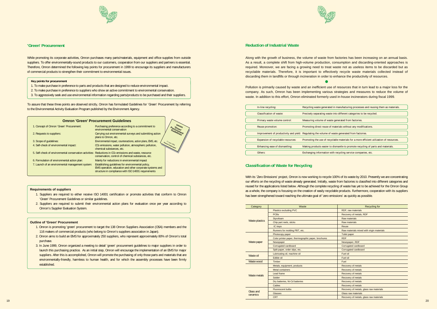

## **'Green' Procurement**

While promoting its corporate activities, Omron purchases many parts/materials, equipment and office supplies from outside suppliers. To offer environmentally-sound products to our customers, cooperation from our suppliers and partners is essential. Therefore, Omron determined the following key points for procurement in 1999 to encourage its suppliers and manufacturers of commercial products to strengthen their commitment to environmental issues.

#### **Key points for procurement**

- 1. To make purchase in preference to parts and products that are designed to reduce environmental impact.
- 2. To make purchase in preference to suppliers who show an active commitment to environmental conservation.
- 3. To aggressively seek and use environmental information regarding parts/products to be purchased and their suppliers.

To assure that these three points are observed strictly, Omron has formulated Guidelines for 'Green' Procurement by referring to the Environmental Activity Evaluation Program published by the Environment Agency.

#### **Requirements of suppliers**

- 1. Suppliers are required to either receive ISO 14001 certification or promote activities that conform to Omron 'Green' Procurement Guidelines or similar guidelines.
- 2. Suppliers are required to submit their environmental action plans for evaluation once per year according to Omron's Supplier Evaluation System.

#### **Outline of 'Green' Procurement**

- 1. Omron is promoting 'green' procurement to target the 138 Omron Suppliers Association (OSA) members and the 116 makers of commercial products (who belong to Omron's suppliers association in Japan).
- 2. Omron aims to build an EMS for approximately 250 suppliers, who represent approximately 80% of Omron's total purchase.
- 3. In June 1999, Omron organized a meeting to detail 'green' procurement guidelines to major suppliers in order to launch this purchasing practice. As an initial step, Omron will encourage the implementation of an EMS for major suppliers. After this is accomplished, Omron will promote the purchasing of only those parts and materials that are environmentally-friendly, harmless to human health, and for which the assembly processes have been firmly established.

|                                                                                                                     | <b>Omron 'Green' Procurement Guidelines</b>                                                                                                                          |                                   |
|---------------------------------------------------------------------------------------------------------------------|----------------------------------------------------------------------------------------------------------------------------------------------------------------------|-----------------------------------|
| 1. Concept of Omron 'Green' Procurement:                                                                            | Purchasing preference according to a commitment to<br>environmental conservation                                                                                     |                                   |
| 2. Requests to suppliers:                                                                                           | Carrying out environmental surveys and submitting action<br>plans to Omron, etc.                                                                                     |                                   |
| 3. Scope of quidelines:                                                                                             | Environmental impact, counteractions, action plans, EMS, etc.                                                                                                        |                                   |
| 4. Self-check of environmental impact:                                                                              | CO <sub>2</sub> emissions, water pollution, atmospheric pollution,<br>chemical substances, etc.                                                                      | 17 June 1999<br>Omron Corporation |
| 5. Self-check of environmental conservation activities: Reductions in CO <sub>2</sub> emissions and waste, resource | conservation, control of chemical substances, etc.                                                                                                                   |                                   |
| 6. Formulation of environmental action plan:                                                                        | Mainly for reductions in environmental impact                                                                                                                        |                                   |
| 7. Launch of an environmental management system:                                                                    | Establishing quidelines for environmental policy.<br>EMS operation, education and other corporate systems and<br>structure in compliance with ISO 14001 requirements |                                   |

| <b>Omron's Supplier Evaluation System.</b>                                                                          | Category                                                           | Waste                                               | Recycling for                             |
|---------------------------------------------------------------------------------------------------------------------|--------------------------------------------------------------------|-----------------------------------------------------|-------------------------------------------|
|                                                                                                                     |                                                                    | <b>Plastics excluding PVC</b>                       | RDF, raw materials                        |
|                                                                                                                     |                                                                    | <b>PCBs</b>                                         | Recovery of metals, RDF                   |
|                                                                                                                     | Styrofoam<br>Waste plastics<br>Chip part reels, sticks<br>IC trays |                                                     | <b>Raw materials</b>                      |
| <b>Outline of 'Green' Procurement</b>                                                                               |                                                                    |                                                     | <b>Raw materials</b>                      |
| 1. Omron is promoting 'green' procurement to target the 138 Omron Suppliers Association (OSA) members and the       |                                                                    |                                                     | Reuse                                     |
| 116 makers of commercial products (who belong to Omron's suppliers association in Japan).                           |                                                                    | Runners for molding PBT, etc.                       | Raw materials mixed with virgin materials |
| 2. Omron aims to build an EMS for approximately 250 suppliers, who represent approximately 80% of Omron's total     |                                                                    | Photocopy paper                                     | Toilet paper                              |
|                                                                                                                     |                                                                    | Color printer paper, thermographic paper, brochures | <b>RDF</b>                                |
| purchase.                                                                                                           | Waste paper                                                        | Newspaper                                           | Newspaper, RDF                            |
| 3. In June 1999, Omron organized a meeting to detail 'green' procurement guidelines to major suppliers in order to  |                                                                    | Corrugated cardboard                                | Corrugated cardboard                      |
| launch this purchasing practice. As an initial step, Omron will encourage the implementation of an EMS for major    |                                                                    | Split paper, order slips, etc.                      | Corrugated cardboard                      |
| suppliers. After this is accomplished, Omron will promote the purchasing of only those parts and materials that are | Waste oil                                                          | Lubricating oil, machine oil                        | Fuel oil                                  |
| environmentally-friendly, harmless to human health, and for which the assembly processes have been firmly           |                                                                    | Edible oil                                          | Fuel oil                                  |
|                                                                                                                     | Waste wood                                                         | Timber                                              | Fuel                                      |
| established.                                                                                                        |                                                                    | Metals, equipment, products                         | Recovery of metals                        |
|                                                                                                                     | <b>Metal containers</b><br>Lead frame<br>Waste metals<br>Solder    |                                                     | Recovery of metals                        |
|                                                                                                                     |                                                                    |                                                     | <b>Recovery of metals</b>                 |
|                                                                                                                     |                                                                    |                                                     | <b>Recovery of metals</b>                 |
|                                                                                                                     |                                                                    | Dry batteries, Ni-Cd batteries                      | Recovery of metals                        |
|                                                                                                                     |                                                                    | Cables                                              | Recovery of metals                        |
|                                                                                                                     | Glass and                                                          | <b>Fluorescent bulbs</b>                            | Recovery of metals, glass raw materials   |
|                                                                                                                     | ceramics                                                           | Glasses                                             | Glass raw materials                       |
|                                                                                                                     |                                                                    | <b>CRT</b>                                          | Recovery of metals, glass raw materials   |



Along with the growth of business, the volume of waste from factories has been increasing on an annual basis. As a result, a complete shift from high-volume production, consumption and discarding-oriented approaches is required. Moreover, we are facing a growing need to treat waste not as useless items to be discarded but as recyclable materials. Therefore, it is important to effectively recycle waste materials collected instead of discarding them in landfills or through incineration in order to enhance the productivity of resources.

Pollution is primarily caused by waste and an inefficient use of resources that in turn lead to a major loss for the company. As such, Omron has been implementing various strategies and measures to reduce the volume of waste. In addition to this effort, Omron eliminated formerly used in-house incinerators during fiscal 1999.

 $\bullet$ 

With its 'Zero Emissions' project, Omron is now working to recycle 100% of its waste by 2010. Presently we are concentrating our efforts on the recycling of waste already generated. Initially, waste from factories is classified into different categories and reused for the applications listed below. Although the complete recycling of waste has yet to be achieved for the Omron Group as a whole, the company is focusing on the creation of easily recyclable products. Furthermore, cooperation with its suppliers has been strengthened toward reaching the ultimate goal of 'zero emissions' as quickly as possible.



# **Classification of Waste for Recycling**

| In-line recycling:                 | Recycling waste generated in manufacturing processes and reusing them as materials.             |
|------------------------------------|-------------------------------------------------------------------------------------------------|
|                                    |                                                                                                 |
| Classification of waste:           | Precisely separating waste into different categories to be recycled.                            |
|                                    |                                                                                                 |
| Primary waste volume control:      | Measuring volume of waste generated from factories.                                             |
|                                    |                                                                                                 |
| Reuse promotion:                   | Promoting direct reuse of materials without any modifications.                                  |
|                                    |                                                                                                 |
|                                    | Improvement of productivity and yield: Regulating the volume of waste generated from factories. |
|                                    |                                                                                                 |
| Expansion of recyclable resources: | Promoting the use of recyclable materials for a more efficient utilization of resources.        |
|                                    |                                                                                                 |
| Enhancing ease of dismantling:     | Making products easier to dismantle to promote recycling of parts and materials.                |
|                                    |                                                                                                 |
| Others:                            | Exchanging information with recycling service companies, etc.                                   |
|                                    |                                                                                                 |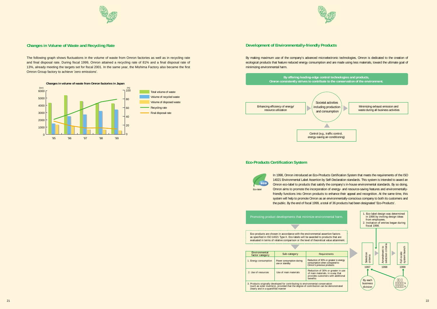



## **Changes in Volume of Waste and Recycling Rate**

The following graph shows fluctuations in the volume of waste from Omron factories as well as in recycling rate and final disposal rate. During fiscal 1999, Omron attained a recycling rate of 81% and a final disposal rate of 13%, already meeting the targets set for fiscal 2001. In the same year, the Mishima Factory also became the first Omron Group factory to achieve 'zero emissions'.





By making maximum use of the company's advanced microelectronic technologies, Omron is dedicated to the creation of ecological products that feature reduced energy consumption and are made using less materials, toward the ultimate goal of minimizing environmental harm.

> In 1998, Omron introduced an Eco-Products Certification System that meets the requirements of the ISO 14021 Environmental Label Assertion by Self-Declaration standards. This system is intended to award an Omron eco-label to products that satisfy the company's in-house environmental standards. By so doing, Omron aims to promote the incorporation of energy- and resource-saving features and environmentallyfriendly functions into Omron products to enhance their appeal and recognition. At the same time, this system will help to promote Omron as an environmentally-conscious company to both its customers and the public. By the end of fiscal 1999, a total of 36 products had been designated 'Eco-Products'.

| Environmental<br>factor category                                                                                                                                                                         | Sub-category                               | Requirements                                                                                |  |
|----------------------------------------------------------------------------------------------------------------------------------------------------------------------------------------------------------|--------------------------------------------|---------------------------------------------------------------------------------------------|--|
| 1. Energy consumption                                                                                                                                                                                    | Power consumption during<br>use or standby | Reduction of 30% or greate<br>consumption when compar<br>Omron's previous products          |  |
| 2. Use of resources                                                                                                                                                                                      | Use of main materials                      | Reduction of 30% or gre<br>of main materials, in a w<br>provides customers with<br>benefits |  |
| 3. Products originally developed for contributing to environmental conservation<br>(such as solar inverters), provided that the degree of contribution can be demo<br>clearly and in a quantified manner |                                            |                                                                                             |  |



# **Development of Environmentally-friendly Products**

## **Eco-Products Certification System**



Promoting product developments that minimize environmental harm.



Eco-products are chosen in accordance with the environmental assertion factors as specified in ISO 14021 Type II. Eco-labels will be awarded to products that are evaluated in terms of relative comparison or the level of theoretical value attainment. 

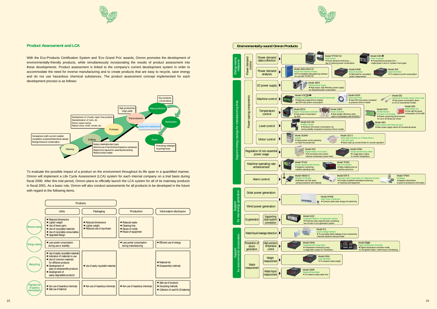



## **Product Assessment and LCA**

To evaluate the possible impact of a product on the environment throughout its life span in a quantified manner, Omron will implement a Life Cycle Assessment (LCA) system for each internal company on a trial basis during fiscal 2000. After this trial period, Omron plans to officially launch the LCA system for all of its mainstay products in fiscal 2001. As a basic rule, Omron will also conduct assessments for all products to be developed in the future with regard to the following items.

With the Eco-Products Certification System and 'Eco Grand Prix' awards, Omron promotes the development of environmentally-friendly products, while simultaneously incorporating the results of product assessment into these developments. Product assessment is linked to the company's current development system in order to accommodate the need for inverse manufacturing and to create products that are easy to recycle, save energy and do not use hazardous chemical substances. The product assessment concept implemented for each development process is as follows:







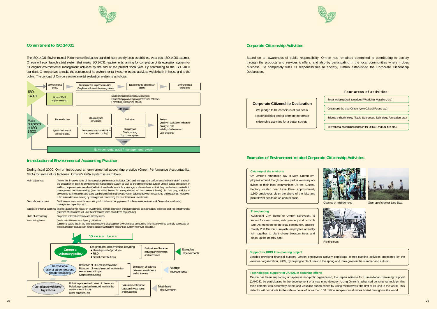The ISO 14031 Environmental Performance Evaluation standard has recently been established. As a post-ISO 14001 attempt, Omron will soon launch a trial system that meets ISO 14031 requirements, aiming for completion of its evaluation system for its original environmental management activities by the end of the present fiscal year. By conforming to the ISO 14031 standard, Omron strives to make the outcomes of its environmental investments and activities visible both in-house and to the public. The concept of Omron's environmental evaluation system is as follows:

#### During fiscal 2000, Omron introduced an environmental accounting practice (Green Performance Accountability, GPA) for some of its factories. Omron's GPA system is as follows:





# **Commitment to ISO 14031**

Main objectives: To monitor improvements of the operation performance indicator (OPI) and management performance indicator (MPI) through the evaluation of both its environmental management system as well as the environmental burden Omron places on society. In addition, improvements are classified into three levels: exemplary, average, and must-have so that they can be incorporated into management decision-making (see the chart below for categorization of improvement levels). In this way, validity of environmental investment and costs can be identified to allow analysis of balance between investments and outcomes. Moreover, it facilitates decision-making by management concerning the prioritization of investments. Secondary objectives: Disclosure of environmental accounting information is being planned for the external evaluation of Omron (for eco-funds, management capability, etc.). Targets of internal auditing: Internal auditing will focus on investments, system operation and maintenance, compensation, penalties and real effectiveness. (Deemed effectiveness will later be introduced when considered appropriate.) Units of accounting: Corporate, internal company and factory levels Accounting items: Conform to Environment Agency guidelines (Omron is aware that in the future a company's disclosure of environmental accounting information will be strongly advocated or even mandatory and as such aims to employ a standard accounting system wherever possible.)  **'G r e e n' l e v e l** Average improvements **Exemplary** improvements Must-have improvements Eco-products, zero emission, recycling • Use/disposal of products  $\bullet$ R&D • Social contributions **Omron's voluntary policy** International/ national agreements and recommendations Reduction of CO2 emissions/waste Reduction of waste intended to minimize environmental impact Social contributions Compliance with laws/ **legislations** Pollution prevention/control of chemicals Pollution prevention intended to minimize environmental impact Other penalties, etc. Evaluation of balance between investments and outcomes Evaluation of balance between investments and outcomes Evaluation of balance between investments and outcomes

### **Introduction of Environmental Accounting Practice**



# **Corporate Citizenship Activities**

# **Examples of Environment-related Corporate Citizenship Activities**

Based on an awareness of public responsibility, Omron has remained committed to contributing to society through the products and services it offers, and also by participating in the local communities where it does business. To completely fulfill its responsibilities to society, Omron established the Corporate Citizenship Declaration.

# **Corporate Citizenship Declaration** We pledge to be conscious of our social

responsibilities and to promote corporate citizenship activities for a better society.

#### **Tree-planting**

Kurayoshi City, home to Omron Kurayoshi, is known for clean water, lush greenery and rich culture. As members of the local community, approximately 200 Omron Kurayoshi employees annually join together to plant cherry blossom trees and clean-up the nearby park.

#### **Support for KIDS Tree-planting project**

Besides providing financial support, Omron employees actively participate in tree-planting activities sponsored by the volunteer organization, KIDS, by helping to plant trees in the spring and mow grass in the summer and autumn.

#### **Technological support for JAHDS in demining efforts**

Omron has been supporting a Japanese non-profit organization, the Japan Alliance for Humanitarian Demining Support (JAHDS), by participating in the development of a new mine detector. Using Omron's advanced sensing technology, this mine detector can accurately detect and visualize buried mines by using microwaves, the first of its kind in the world. This detector will contribute to the safe removal of more than 100 million anti-personnel mines buried throughout the world.



Clean-up of neighborhood





Clean-up of shore at Lake Biwa

#### **Clean-up of the environs**

On Omron's foundation day in May, Omron employees around the globe take part in voluntary activities in their local communities. At the Kusatsu Factory located near Lake Biwa, approximately 1,500 employees clean the shore of the lake and plant flower seeds on an annual basis.



# Social welfare (Oita International Wheelchair Marathon, etc.) Culture and the arts (Omron Kyoto Cultural Forum, etc.) **Four areas of activities**

Science and technology (Tateisi Science and Technology Foundation, etc.)

International cooperation (support for UNICEF and UNHCR, etc.)

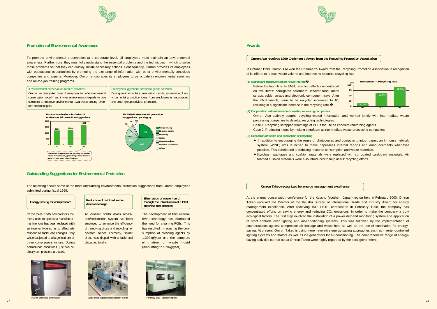

### **Promotion of Environmental Awareness**

# **Outstanding Suggestions for Environmental Protection**

To promote environmental preservation at a corporate level, all employees must maintain an environmental awareness. Furthermore, they must fully understand the essential problems and the techniques in which to solve those problems so that they can quickly initiate necessary actions. Consequently, Omron provides its employees with educational opportunities by promoting the exchange of information with other environmentally-conscious companies and experts. Moreover, Omron encourages its employees to participate in environmental seminars and on-the-job training programs.

The following shows some of the most outstanding environmental protection suggestions from Omron employees submitted during fiscal 1999.

# **Energy-saving for compressors**

Of the three 37kW compressors formerly used to operate a manufacturing line, one has been replaced with an inverter type so as to effectively respond to rapid load changes. Only when subjected to a large load are all three compressors in use. During normal-load conditions, just two ordinary compressors are used.

Employee suggestions and small-group activities During environmental conservation month, submission of environmental protection ideas from employees is encouraged and small-group activities promoted.

An oxidized solder dross separation/reclamation system has been employed to enhance the efficiency of removing dross and recycling recovered solder. Formerly, solder dross was dipped with a ladle and discarded totally.

The development of this alternative technology has eliminated the need for cleaning PCBs. This has resulted in reducing the consumption of cleaning agents by 1,300kg/year and the complete elimination of waste liquid (amounting to 570kg/year).



**Elimination of waste liquid through the introduction of a PCB cleaning-free process**

# **Reduction of oxidized solder**





'Environmental conservation month' activities Omron has designated June of every year to be 'environmental conservation month' and invites environmental experts to give seminars to improve environmental awareness among directors and managers.

> Omron Aso actively sought recycling-related information and worked jointly with intermediate waste processing companies to develop recycling technologies. Case 1: Recycling scrapped trimmings of PCBs for use as concrete reinforcing agents Case 2: Producing ingots by melting styrofoam at intermediate waste processing companies



- In addition to encouraging the reuse of photocopies and computer printout paper, an in-house network system (WINE) was launched to make paper-less internal reports and announcements whenever possible. This contributed to reducing resource consumption and waste materials.
- <sup>7</sup>Styrofoam packages and cushion materials were replaced with corrugated cardboard materials. Air foamed cushion materials were also introduced to help users' recycling efforts.

#### **Omron Aso receives 1999 Chairman's Award from the Recycling Promotion Association**

In October 1999, Omron Aso won the Chairman's Award from the Recycling Promotion Association in recognition of its efforts to reduce waste volume and improve its resource recycling rate.

#### **Omron Takeo recognized for energy management excellence**

At the energy conservation conference for the Kyushu (southern Japan) region held in February 2000, Omron Takeo received the Director of the Kyushu Bureau of International Trade and Industry Award for energy management excellence. After receiving ISO 14001 certification in February 1998, the company has concentrated efforts on saving energy and reducing CO2 emissions, in order to make the company a truly ecological factory. The first step involved the installation of a power demand monitoring system and application of strict controls over lighting and air-conditioning systems. This was followed by the implementation of counteractions against compressor air leakage and waste heat as well as the use of sunshades for energysaving. At present, Omron Takeo is using more innovative energy-saving approaches such as inverter-controlled lighting systems and motors as well as ice generators for air-conditioning. The comprehensive range of energysaving activities carried out at Omron Takeo were highly regarded by the local government.







- 
- 



#### **(1) Significant improvement in recycling rate**

Before the launch of its EMS, recycling efforts concentrated on five items: corrugated cardboard, leftover food, metal scraps, solder scraps and electronic component trays. After the EMS launch, items to be recycled increased to 10, resulting in a significant increase in the recycling rate.

# **(2) Cooperation with intermediate waste processing companies**

#### **(3) Reduction of waste and promotion of recycling**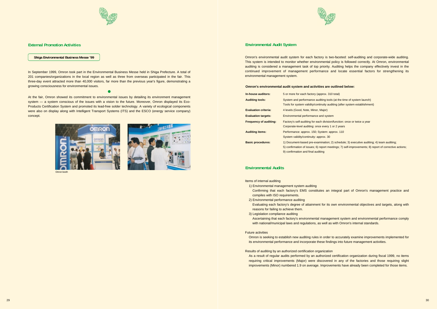

# **External Promotion Activities**

### **Shiga Environmental Business Messe '99**

In September 1999, Omron took part in the Environmental Business Messe held in Shiga Prefecture. A total of 201 companies/organizations in the local region as well as three from overseas participated in the fair. This three-day event attracted more than 40,000 visitors, far more than the previous year's figure, demonstrating a growing consciousness for environmental issues.

0

At the fair, Omron showed its commitment to environmental issues by detailing its environment management system — a system conscious of the issues with a vision to the future. Moreover, Omron displayed its Eco-Products Certification System and promoted its lead-free solder technology. A variety of ecological components were also on display along with Intelligent Transport Systems (ITS) and the ESCO (energy service company) concept.





Omron boot

Omron's environmental audit system for each factory is two-faceted: self-auditing and corporate-wide auditing. This system is intended to monitor whether environmental policy is followed correctly. At Omron, environmental auditing is considered a management task of top priority. Auditing helps the company effectively invest in the continued improvement of management performance and locate essential factors for strengthening its environmental management system.

## **Omron's environmental audit system and activities are outlined below:**

| In-house auditors:            | 5 or more for each factory (approx. 310 total)                                                                                                                                                                                 |
|-------------------------------|--------------------------------------------------------------------------------------------------------------------------------------------------------------------------------------------------------------------------------|
| <b>Auditing tools:</b>        | System and performance auditing tools (at the time of system launch)<br>Tools for system validity/continuity auditing (after system establishment)                                                                             |
| <b>Evaluation criteria:</b>   | 4 levels (Good, Note, Minor, Major)                                                                                                                                                                                            |
| <b>Evaluation targets:</b>    | Environmental performance and system                                                                                                                                                                                           |
| <b>Frequency of auditing:</b> | Factory's self-auditing for each division/function: once or twice a year<br>Corporate-level auditing: once every 1 or 2 years                                                                                                  |
| <b>Auditing items:</b>        | Performance: approx. 150; System: approx. 110<br>System validity/continuity: approx. 30                                                                                                                                        |
| <b>Basic procedures:</b>      | 1) Document-based pre-examination; 2) schedule; 3) executive auditing; 4) team auditing;<br>5) confirmation of issues; 6) report meetings; 7) self-improvements; 8) report of corrective<br>9) confirmation and final auditing |

Items of internal auditing

Evaluating each factory's degree of attainment for its own environmental objectives and targets, along with

Ascertaining that each factory's environmental management system and environmental performance comply

- 1) Environmental management system auditing Confirming that each factory's EMS constitutes an integral part of Omron's management practice and compiles with ISO requirements.
- 2) Environmental performance auditing
- reasons for failing to achieve them.
- 3) Legislation compliance auditing with national/municipal laws and regulations, as well as with Omron's internal standards.
- Future activities
- Omron is seeking to establish new auditing rules in order to accurately examine improvements implemented for its environmental performance and incorporate these findings into future management activities.
- Results of auditing by an authorized certification organization As a result of regular audits performed by an authorized certification organization during fiscal 1999, no items requiring critical improvements (Major) were discovered in any of the factories and those requiring slight improvements (Minor) numbered 1.9 on average. Improvements have already been completed for those items.



meetings; 7) self-improvements; 8) report of corrective actions;

# **Environmental Audit System**

# **Environmental Audits**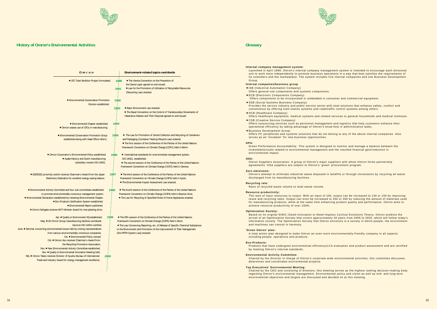



 $E2E/E2E$ 

 $\bullet$  Environme

**• Environmental** 

June • Seminar concerning

Feb.  $\bullet$  Omron

 $\bullet$  Omron N



| Omron                                                                                                                                                                                                                                                                                                                                                                                                                                                                                                                                                                                                                                                                  | <b>Environment-related topics worldwide</b>                                                                                                                                                                                                                                                                                               |
|------------------------------------------------------------------------------------------------------------------------------------------------------------------------------------------------------------------------------------------------------------------------------------------------------------------------------------------------------------------------------------------------------------------------------------------------------------------------------------------------------------------------------------------------------------------------------------------------------------------------------------------------------------------------|-------------------------------------------------------------------------------------------------------------------------------------------------------------------------------------------------------------------------------------------------------------------------------------------------------------------------------------------|
| • CFC Total Abolition Project formulated.                                                                                                                                                                                                                                                                                                                                                                                                                                                                                                                                                                                                                              | 1988<br>• The Vienna Convention on the Prevention of<br>the Ozone Layer agreed on and issued.<br>1991<br>• Law for the Promotion of Utilization of Recyclable Resources<br>(Recycling Law) enacted.                                                                                                                                       |
| <b>• Environmental Conservation Promotion</b><br>Division established.<br>1994<br>• Environmental Chapter established.                                                                                                                                                                                                                                                                                                                                                                                                                                                                                                                                                 | 1992<br>1993<br>• Basic Environment Law enacted.<br>• The Basel Convention on the Control of Transboundary Movements of<br>Hazardous Wastes and Their Disposal agreed on and issued.                                                                                                                                                      |
| • Omron ceases use of CFCs in manufacturing.<br>1995<br>• Environmental Conservation Promotion Group<br>established along with Head Office reform.                                                                                                                                                                                                                                                                                                                                                                                                                                                                                                                     | • The Law for Promotion of Sorted Collection and Recycling of Containers<br>and Packaging (Container Packing Recycle Law) enacted.<br>. The first session of the Conference of the Parties of the United Nations<br>Framework Convention on Climate Change (COP1) held in Berlin.                                                         |
| • Omron Corporation's Environmental Policy established.<br>1996<br>• Ayabe Factory and Dutch manufacturing<br>subsidiary receive ISO 14001.                                                                                                                                                                                                                                                                                                                                                                                                                                                                                                                            | • International standards for environmental management system,<br>ISO 14001, established.<br>• The second session of the Conference of the Parties of the United Nations<br>Framework Convention on Climate Change (COP2) held in Geneva.                                                                                                 |
| 1997<br><b>E2E2</b> proximity switch receives Chairman's Award from the Japan<br>Machinery Federation for excellent energy-saving feature.                                                                                                                                                                                                                                                                                                                                                                                                                                                                                                                             | • The third session of the Conference of the Parties of the United Nations<br>Framework Convention on Climate Change (COP3) held in Kyoto.<br>. The Environmental Impact Assessment Law enacted.                                                                                                                                          |
| 1998<br>nmental Activity Committee and four sub-committees established<br>to promote environmentally-conscious management system.<br>ental Declaration established by renewing Environmental Chapter.<br>• Eco-Products Certification System established.<br>• Environmental Report published.<br>on Nohgata receives MITI Minister Award for tree-planting drive.                                                                                                                                                                                                                                                                                                     | • The fourth session of the Conference of the Parties of the United Nations<br>Framework Convention on Climate Change (COP4) held in Buenos Aires.<br>• The Law for Recycling of Specified Kinds of Home Appliances enacted.                                                                                                              |
| Apr. ● Quality & Environment HQ established.<br>1999<br>May • 30 Omron Group manufacturing facilities worldwide<br>become ISO 14001-certified.<br>oncerning environmental issues held by inviting representatives<br>from various environmentally-conscious companies.<br>Oct. • Environmental Policy revised.<br>Oct. . Omron Aso receives Chairman's Award from<br>the Recycling Promotion Association.<br>Nov. ● New Environmental Activity Committee established.<br>Nov. ● Quality & Environmental Innovation Meeting held.<br>on Takeo receives Director of Kyushu Bureau of International<br>2000<br>Trade and Industry Award for energy management excellence. | • The fifth session of the Conference of the Parties of the United Nations<br>Framework Convention on Climate Change (COP5) held in Bonn.<br>• The Law Concerning Reporting, etc. of Release of Specific Chemical Substances<br>to the Environment and Promotion of the Improvement of Their Management<br>(the PRTR System Law) enacted. |

- IAB (Industrial Automation Company): Offers general-use components and systems components.
- **ECB (Electronic Components Company):**  Offers components to be incorporated or embedded in consumer and commercial equipment. **• SSB (Social Systems Business Company):**
- Provides the service industry and public service sector with total solutions that enhance safety, comfort and convenience by offering train-station systems and road/traffic control systems among others.
- $\bullet$  HCB (Healthcare Company):
- **CSB (Creative Service Company):**
- Offers outsourcing services such as personnel management and logistics that help customers enhance their operational efficiency by taking advantage of Omron's know-how in administrative tasks. **• Business Development Group:**
- Offers PC peripherals and systems solutions that do not belong to any of the above internal companies. Also serves as an 'incubator' for new business opportunities.

#### **Internal company management system:**

Launched in April 1999, Omron's internal company management system is intended to encourage each divisional unit to work more independently to promote business operations in a way that best satisfies the requirements of its customers and the marketplace. The system includes five internal companies and one Business Development Group.

### **Internal companies/business group**

Offers healthcare equipment, medical systems and related services to general households and medical institutes.

#### **GPA:**

Green Performance Accountability. This system is designed to monitor and manage a balance between the investments/costs related to environmental management and the resulted financial gain/reduction in environmental impact.

#### **OSA:**

Omron Suppliers Association. A group of Omron's major suppliers with whom Omron forms partnership agreements. OSA suppliers are subject to Omron's 'green' procurement program.

#### **Zero emissions:**

Omron's attempt to eliminate industrial waste disposed in landfills or through incineration by recycling all waste discharged from its manufacturing facilities.

#### **Recycling rate:**

Ratio of recycled waste volume to total waste volume.

#### **Resource productivity:**

The ratio of input resources to output. With an input of 100, output can be increased to 130 or 150 by improving reuse and recycling rates. Output can even be increased to 200 or 300 by reducing the amount of materials used for manufacturing products, while at the same time enhancing product quality and performance. Omron aims to achieve resource productivity of over 150%.

#### **Optimization Society:**

Based on its original SINIC (Seed-Innovation to Need-Impetus Cyclical Evolution) Theory, Omron predicts the arrival of an Optimization Society that covers approximately 20 years from 2005 to 2025, which will follow today's information society. The Optimization Society that Omron envisions is a society in which people, the environment and machines can coexist in harmony.

#### **'Green Omron' plan:**

A total action plan designed to make Omron an even more environmentally-friendly company in all aspects including people, operations and products.

#### **Eco-Products:**

Products that have undergone environmental efficiency/LCA evaluation and product assessment and are certified by meeting Omron's internal standards.

#### **Environmental Activity Committee:**

Chaired by the Director in charge of Omron's corporate-wide environmental activities, this committee discusses, determines and coordinates environmental projects.

#### **Top Executives' Environmental Meeting:**

Chaired by the CEO and consisting of directors, this meeting serves as the highest ranking decision-making body regarding Omron's environmental management. Environmental policy and vision as well as mid- and long-term environmental objectives and targets are discussed and decided on at this meeting.



# **Glossary**